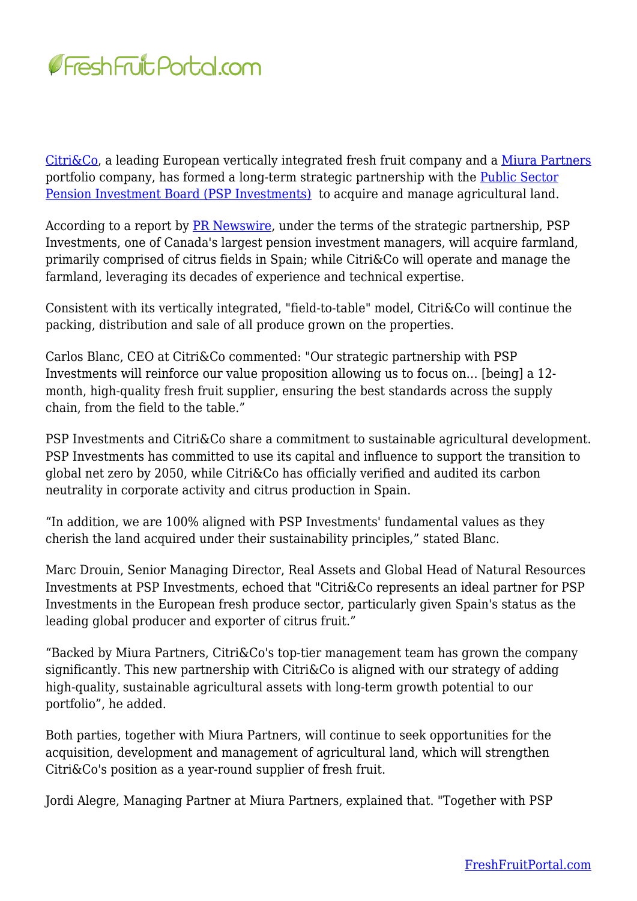

[Citri&Co,](https://www.citricoglobal.com/) a leading European vertically integrated fresh fruit company and a [Miura Partners](https://miura.partners/) portfolio company, has formed a long-term strategic partnership with the [Public Sector](https://www.investpsp.com/en/) [Pension Investment Board \(PSP Investments\)](https://www.investpsp.com/en/) to acquire and manage agricultural land.

According to a report by **PR Newswire**, under the terms of the strategic partnership, PSP Investments, one of Canada's largest pension investment managers, will acquire farmland, primarily comprised of citrus fields in Spain; while Citri&Co will operate and manage the farmland, leveraging its decades of experience and technical expertise.

Consistent with its vertically integrated, "field-to-table" model, Citri&Co will continue the packing, distribution and sale of all produce grown on the properties.

Carlos Blanc, CEO at Citri&Co commented: "Our strategic partnership with PSP Investments will reinforce our value proposition allowing us to focus on… [being] a 12 month, high-quality fresh fruit supplier, ensuring the best standards across the supply chain, from the field to the table."

PSP Investments and Citri&Co share a commitment to sustainable agricultural development. PSP Investments has committed to use its capital and influence to support the transition to global net zero by 2050, while Citri&Co has officially verified and audited its carbon neutrality in corporate activity and citrus production in Spain.

"In addition, we are 100% aligned with PSP Investments' fundamental values as they cherish the land acquired under their sustainability principles," stated Blanc.

Marc Drouin, Senior Managing Director, Real Assets and Global Head of Natural Resources Investments at PSP Investments, echoed that "Citri&Co represents an ideal partner for PSP Investments in the European fresh produce sector, particularly given Spain's status as the leading global producer and exporter of citrus fruit."

"Backed by Miura Partners, Citri&Co's top-tier management team has grown the company significantly. This new partnership with Citri&Co is aligned with our strategy of adding high-quality, sustainable agricultural assets with long-term growth potential to our portfolio", he added.

Both parties, together with Miura Partners, will continue to seek opportunities for the acquisition, development and management of agricultural land, which will strengthen Citri&Co's position as a year-round supplier of fresh fruit.

Jordi Alegre, Managing Partner at Miura Partners, explained that. "Together with PSP